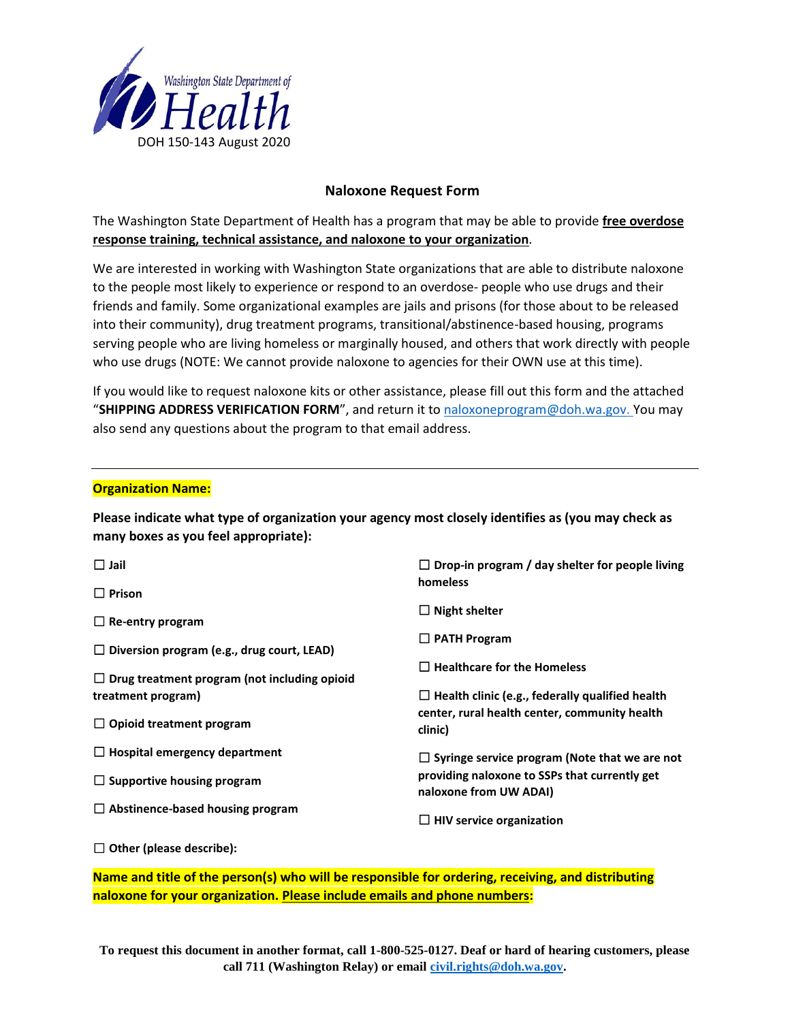

# **Naloxone Request Form**

The Washington State Department of Health has a program that may be able to provide **free overdose response training, technical assistance, and naloxone to your organization**.

We are interested in working with Washington State organizations that are able to distribute naloxone to the people most likely to experience or respond to an overdose- people who use drugs and their friends and family. Some organizational examples are jails and prisons (for those about to be released into their community), drug treatment programs, transitional/abstinence-based housing, programs serving people who are living homeless or marginally housed, and others that work directly with people who use drugs (NOTE: We cannot provide naloxone to agencies for their OWN use at this time).

If you would like to request naloxone kits or other assistance, please fill out this form and the attached "**SHIPPING ADDRESS VERIFICATION FORM**", and return it to [naloxoneprogram@doh.wa.gov.](mailto:naloxoneprogram@doh.wa.gov) You may also send any questions about the program to that email address.

## **Organization Name:**

**Please indicate what type of organization your agency most closely identifies as (you may check as many boxes as you feel appropriate):**

| $\Box$ Jail                                         | $\Box$ Drop-in program / day shelter for people living<br>homeless                                      |  |
|-----------------------------------------------------|---------------------------------------------------------------------------------------------------------|--|
| $\Box$ Prison<br>$\Box$ Re-entry program            | $\Box$ Night shelter                                                                                    |  |
| $\Box$ Diversion program (e.g., drug court, LEAD)   | $\Box$ PATH Program                                                                                     |  |
| $\Box$ Drug treatment program (not including opioid | $\Box$ Healthcare for the Homeless                                                                      |  |
| treatment program)                                  | $\Box$ Health clinic (e.g., federally qualified health<br>center, rural health center, community health |  |
| $\Box$ Opioid treatment program                     | clinic)                                                                                                 |  |
| $\Box$ Hospital emergency department                | $\Box$ Syringe service program (Note that we are not                                                    |  |
| $\Box$ Supportive housing program                   | providing naloxone to SSPs that currently get<br>naloxone from UW ADAI)                                 |  |
| $\Box$ Abstinence-based housing program             | $\Box$ HIV service organization                                                                         |  |

☐ **Other (please describe):**

**Name and title of the person(s) who will be responsible for ordering, receiving, and distributing naloxone for your organization. Please include emails and phone numbers:**

**To request this document in another format, call 1-800-525-0127. Deaf or hard of hearing customers, please call 711 (Washington Relay) or email [civil.rights@doh.wa.gov.](mailto:civil.rights@doh.wa.gov)**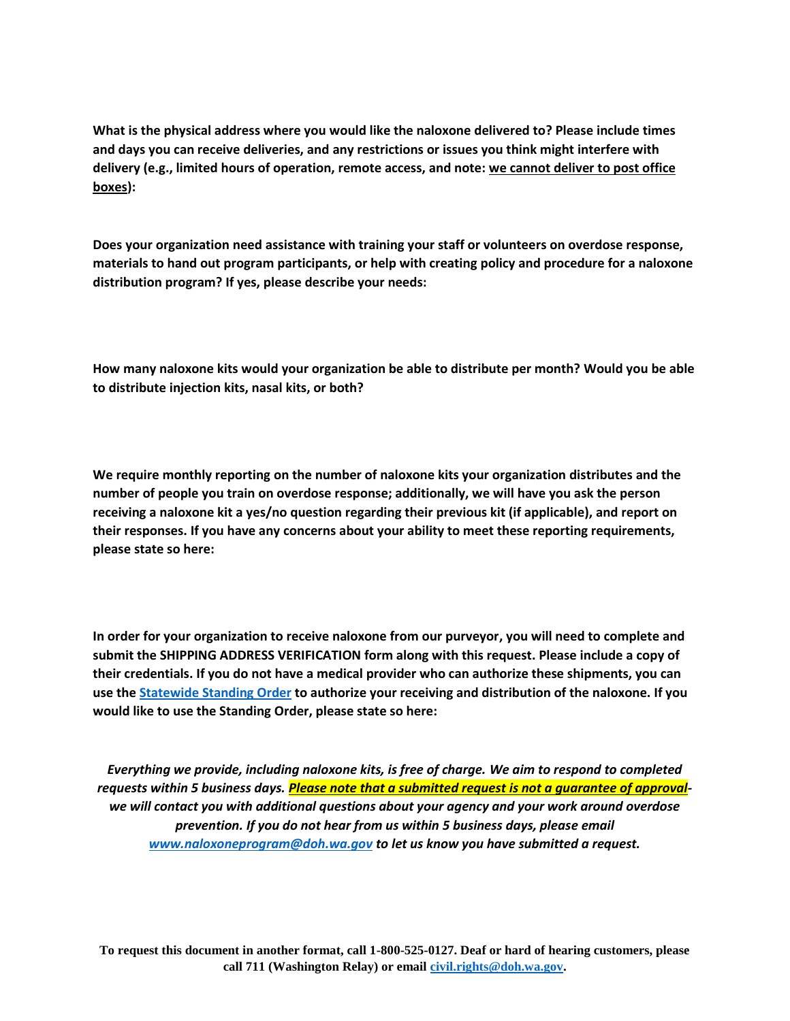**What is the physical address where you would like the naloxone delivered to? Please include times and days you can receive deliveries, and any restrictions or issues you think might interfere with delivery (e.g., limited hours of operation, remote access, and note: we cannot deliver to post office boxes):** 

**Does your organization need assistance with training your staff or volunteers on overdose response, materials to hand out program participants, or help with creating policy and procedure for a naloxone distribution program? If yes, please describe your needs:**

**How many naloxone kits would your organization be able to distribute per month? Would you be able to distribute injection kits, nasal kits, or both?**

**We require monthly reporting on the number of naloxone kits your organization distributes and the number of people you train on overdose response; additionally, we will have you ask the person receiving a naloxone kit a yes/no question regarding their previous kit (if applicable), and report on their responses. If you have any concerns about your ability to meet these reporting requirements, please state so here:**

**In order for your organization to receive naloxone from our purveyor, you will need to complete and submit the SHIPPING ADDRESS VERIFICATION form along with this request. Please include a copy of their credentials. If you do not have a medical provider who can authorize these shipments, you can use the [Statewide Standing Order](https://www.doh.wa.gov/Portals/1/Documents/Pubs/150-127-StatewideStandingOrderToDispenseNaloxone.pdf) to authorize your receiving and distribution of the naloxone. If you would like to use the Standing Order, please state so here:**

*Everything we provide, including naloxone kits, is free of charge. We aim to respond to completed requests within 5 business days. Please note that a submitted request is not a guarantee of approvalwe will contact you with additional questions about your agency and your work around overdose prevention. If you do not hear from us within 5 business days, please email [www.naloxoneprogram@doh.wa.gov](http://www.naloxoneprogram@doh.wa.gov) to let us know you have submitted a request.*

**To request this document in another format, call 1-800-525-0127. Deaf or hard of hearing customers, please call 711 (Washington Relay) or email [civil.rights@doh.wa.gov.](mailto:civil.rights@doh.wa.gov)**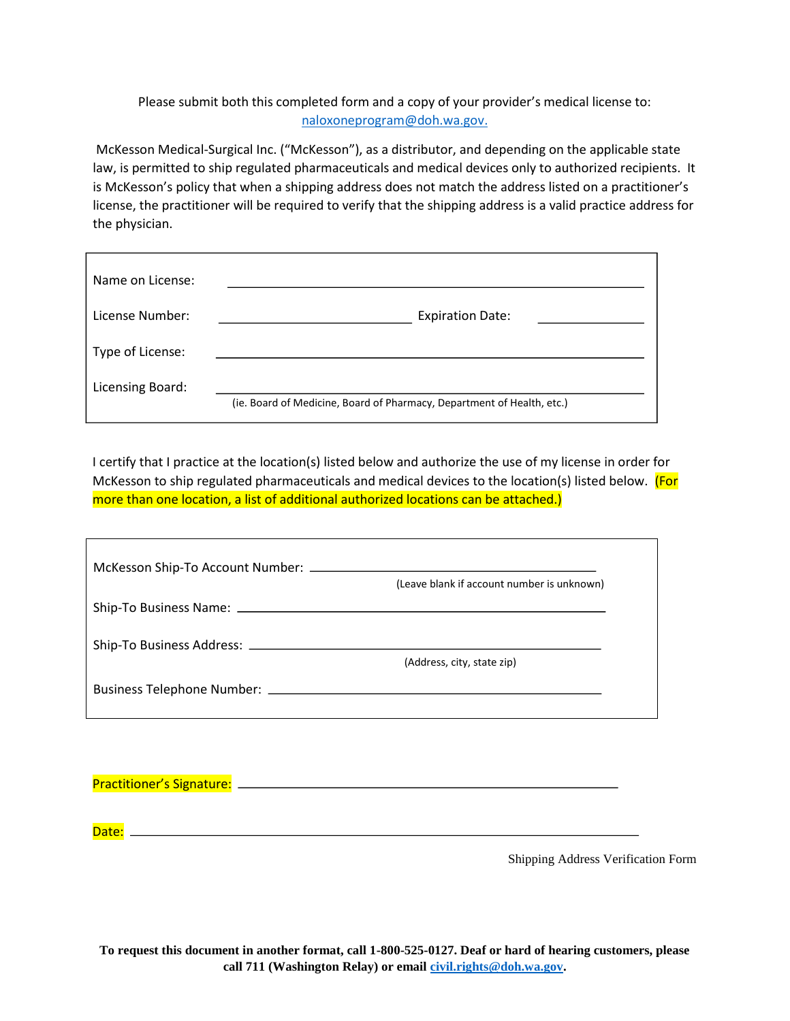# Please submit both this completed form and a copy of your provider's medical license to: [naloxoneprogram@doh.wa.gov.](mailto:naloxoneprogram@doh.wa.gov)

McKesson Medical-Surgical Inc. ("McKesson"), as a distributor, and depending on the applicable state law, is permitted to ship regulated pharmaceuticals and medical devices only to authorized recipients. It is McKesson's policy that when a shipping address does not match the address listed on a practitioner's license, the practitioner will be required to verify that the shipping address is a valid practice address for the physician.

| Name on License: |                                                                        |
|------------------|------------------------------------------------------------------------|
| License Number:  | <b>Expiration Date:</b>                                                |
| Type of License: |                                                                        |
| Licensing Board: | (ie. Board of Medicine, Board of Pharmacy, Department of Health, etc.) |

I certify that I practice at the location(s) listed below and authorize the use of my license in order for McKesson to ship regulated pharmaceuticals and medical devices to the location(s) listed below. (For more than one location, a list of additional authorized locations can be attached.)

| (Leave blank if account number is unknown) |
|--------------------------------------------|
|                                            |
| (Address, city, state zip)                 |
|                                            |

| <b>Practitioner's Signature:</b> |  |
|----------------------------------|--|
|                                  |  |

Date:

Shipping Address Verification Form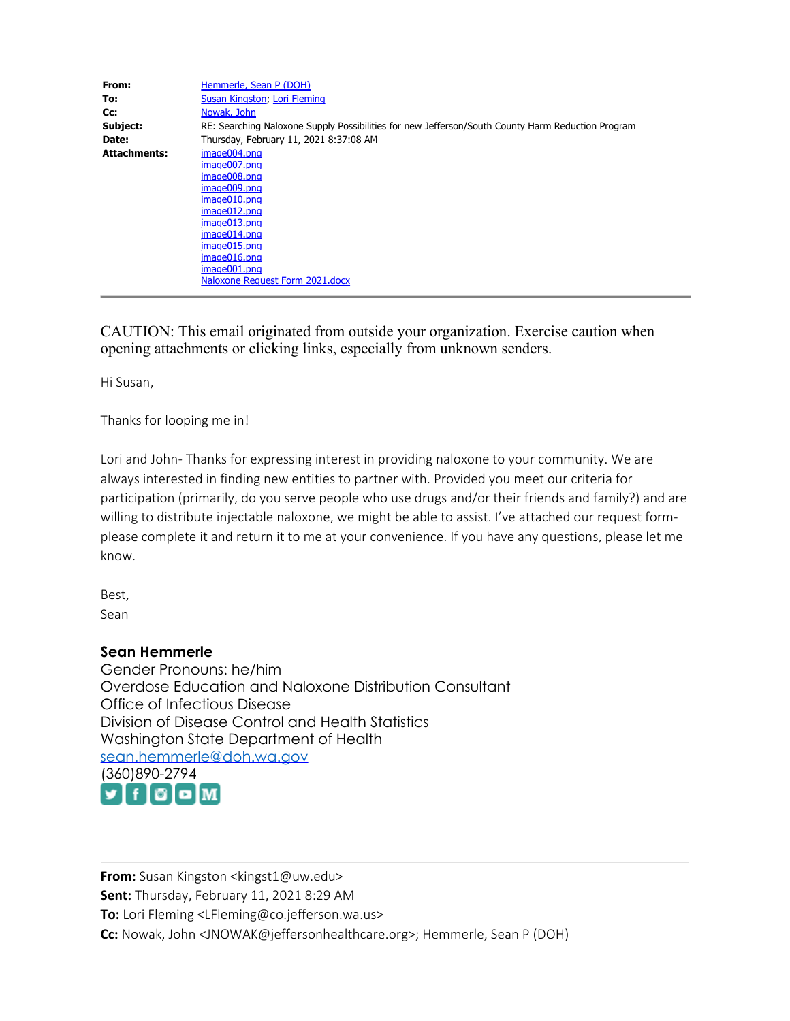| From:               | Hemmerle, Sean P (DOH)                                                                            |
|---------------------|---------------------------------------------------------------------------------------------------|
| To:                 | Susan Kingston, Lori Fleming                                                                      |
| Cc:                 | Nowak, John                                                                                       |
| Subject:            | RE: Searching Naloxone Supply Possibilities for new Jefferson/South County Harm Reduction Program |
| Date:               | Thursday, February 11, 2021 8:37:08 AM                                                            |
| <b>Attachments:</b> | image004.png                                                                                      |
|                     | image007.png                                                                                      |
|                     | image008.png                                                                                      |
|                     | image009.png                                                                                      |
|                     | image010.png                                                                                      |
|                     | image012.png                                                                                      |
|                     | image013.png                                                                                      |
|                     | image014.png                                                                                      |
|                     | image015.png                                                                                      |
|                     | image016.png                                                                                      |
|                     | image001.png                                                                                      |
|                     | Naloxone Request Form 2021.docx                                                                   |

CAUTION: This email originated from outside your organization. Exercise caution when opening attachments or clicking links, especially from unknown senders.

Hi Susan,

Thanks for looping me in!

Lori and John- Thanks for expressing interest in providing naloxone to your community. We are always interested in finding new entities to partner with. Provided you meet our criteria for participation (primarily, do you serve people who use drugs and/or their friends and family?) and are willing to distribute injectable naloxone, we might be able to assist. I've attached our request formplease complete it and return it to me at your convenience. If you have any questions, please let me know.

Best, Sean

## **Sean Hemmerle**

Gender Pronouns: he/him Overdose Education and Naloxone Distribution Consultant Office of Infectious Disease Division of Disease Control and Health Statistics Washington State Department of Health [sean.hemmerle@doh.wa.gov](mailto:sean.hemmerle@doh.wa.gov) [\(360](https://twitter.com/wadepthealth?lang=en)[\)89](https://www.facebook.com/WADeptHealth/)[0-2](https://www.instagram.com/wadepthealth/)[794](https://www.youtube.com/channel/UCTSCpezTD0TjiiAOuJY7f5w/doh) f  $\blacksquare$  f  $\blacksquare$ 

**From:** Susan Kingston <kingst1@uw.edu> **Sent:** Thursday, February 11, 2021 8:29 AM **To:** Lori Fleming <LFleming@co.jefferson.wa.us> **Cc:** Nowak, John <JNOWAK@jeffersonhealthcare.org>; Hemmerle, Sean P (DOH)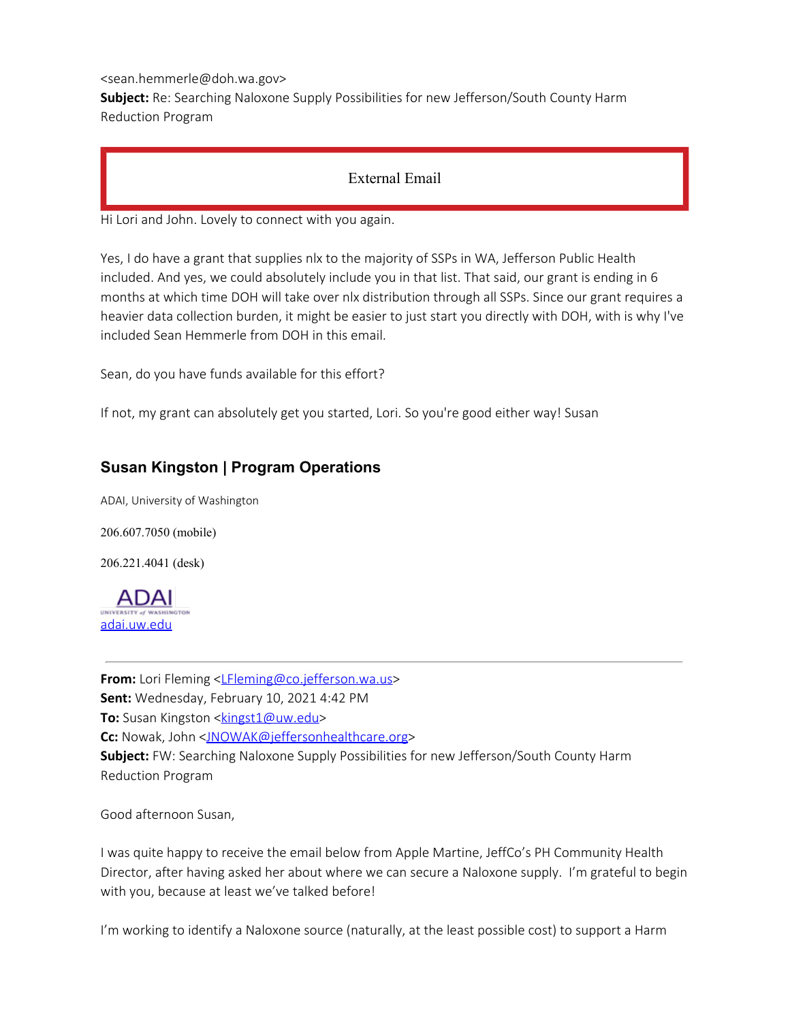<sean.hemmerle@doh.wa.gov>

**Subject:** Re: Searching Naloxone Supply Possibilities for new Jefferson/South County Harm Reduction Program

# External Email

Hi Lori and John. Lovely to connect with you again.

Yes, I do have a grant that supplies nlx to the majority of SSPs in WA, Jefferson Public Health included. And yes, we could absolutely include you in that list. That said, our grant is ending in 6 months at which time DOH will take over nlx distribution through all SSPs. Since our grant requires a heavier data collection burden, it might be easier to just start you directly with DOH, with is why I've included Sean Hemmerle from DOH in this email.

Sean, do you have funds available for this effort?

If not, my grant can absolutely get you started, Lori. So you're good either way! Susan

# **Susan Kingston | Program Operations**

ADAI, University of Washington

206.607.7050 (mobile)

206.221.4041 (desk)



**From:** Lori Fleming <LEleming@co.jefferson.wa.us> **Sent:** Wednesday, February 10, 2021 4:42 PM **To:** Susan Kingston <**kingst1@uw.edu>** Cc: Nowak, John [<JNOWAK@jeffersonhealthcare.org](mailto:JNOWAK@jeffersonhealthcare.org)> **Subject:** FW: Searching Naloxone Supply Possibilities for new Jefferson/South County Harm Reduction Program

Good afternoon Susan,

I was quite happy to receive the email below from Apple Martine, JeffCo's PH Community Health Director, after having asked her about where we can secure a Naloxone supply. I'm grateful to begin with you, because at least we've talked before!

I'm working to identify a Naloxone source (naturally, at the least possible cost) to support a Harm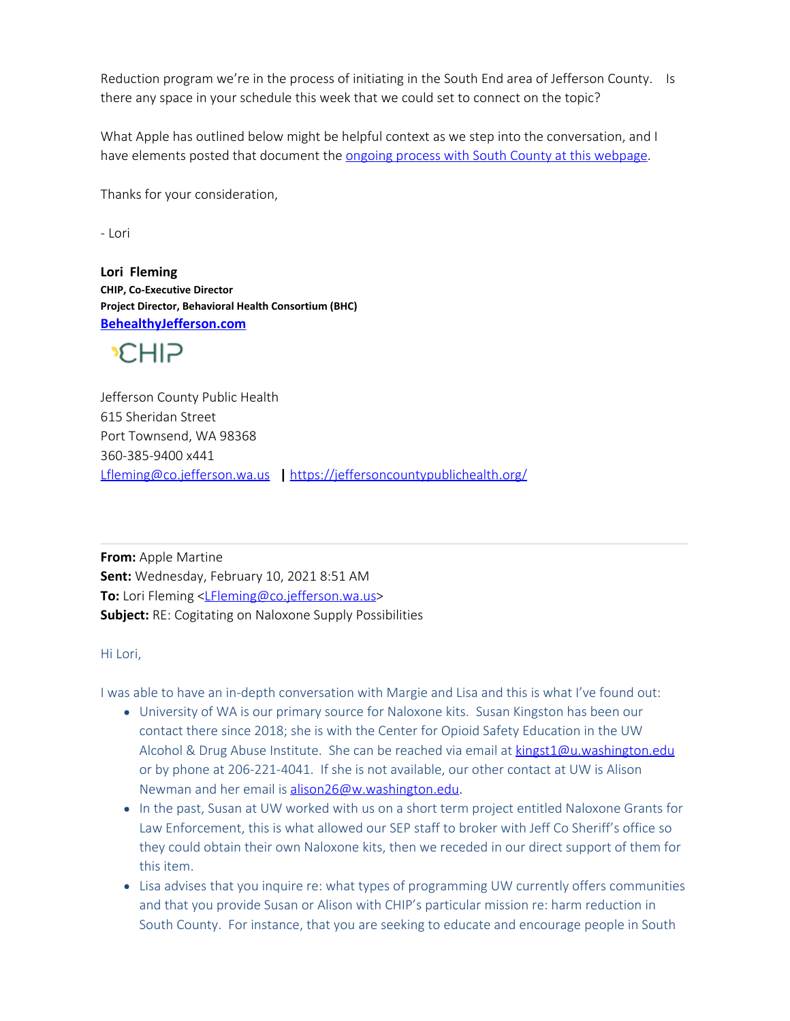Reduction program we're in the process of initiating in the South End area of Jefferson County. Is there any space in your schedule this week that we could set to connect on the topic?

What Apple has outlined below might be helpful context as we step into the conversation, and I have elements posted that document the [ongoing process with South County at this webpage](https://gcc02.safelinks.protection.outlook.com/?url=https%3A%2F%2Fwww.behealthyjefferson.com%2Fbhcharmreduction&data=04%7C01%7Csean.hemmerle%40doh.wa.gov%7Cfb690fb9250b43c718a708d8ceaa2122%7C11d0e217264e400a8ba057dcc127d72d%7C0%7C0%7C637486577392977912%7CUnknown%7CTWFpbGZsb3d8eyJWIjoiMC4wLjAwMDAiLCJQIjoiV2luMzIiLCJBTiI6Ik1haWwiLCJXVCI6Mn0%3D%7C1000&sdata=g4C6PWKQ5TNmqmJ8iHnJIhInLk2r%2BMzvB8Ojj%2FLTq9I%3D&reserved=0).

Thanks for your consideration,

- Lori

**Lori Fleming CHIP, Co-Executive Director Project Director, Behavioral Health Consortium (BHC) [BehealthyJefferson.com](https://gcc02.safelinks.protection.outlook.com/?url=https%3A%2F%2Fwww.behealthyjefferson.com%2F&data=04%7C01%7Csean.hemmerle%40doh.wa.gov%7Cfb690fb9250b43c718a708d8ceaa2122%7C11d0e217264e400a8ba057dcc127d72d%7C0%7C0%7C637486577392977912%7CUnknown%7CTWFpbGZsb3d8eyJWIjoiMC4wLjAwMDAiLCJQIjoiV2luMzIiLCJBTiI6Ik1haWwiLCJXVCI6Mn0%3D%7C1000&sdata=mEJoNLzPrylBlZIJt%2F9njgn8DCxTI3Kq257h6r%2BXBy8%3D&reserved=0)**

**CHIP** 

Jefferson County Public Health 615 Sheridan Street Port Townsend, WA 98368 360-385-9400 x441 [Lfleming@co.jefferson.wa.us](https://gcc02.safelinks.protection.outlook.com/?url=http%3A%2F%2Fco.jefferson.wa.us%2F&data=04%7C01%7Csean.hemmerle%40doh.wa.gov%7Cfb690fb9250b43c718a708d8ceaa2122%7C11d0e217264e400a8ba057dcc127d72d%7C0%7C0%7C637486577392987858%7CUnknown%7CTWFpbGZsb3d8eyJWIjoiMC4wLjAwMDAiLCJQIjoiV2luMzIiLCJBTiI6Ik1haWwiLCJXVCI6Mn0%3D%7C1000&sdata=lx70Cnj7xJN6ZgWGFM9lCfMpbxE%2BLYrhZlscFdzjIMA%3D&reserved=0) **|** [https://jeffersoncountypublichealth.org/](https://gcc02.safelinks.protection.outlook.com/?url=https%3A%2F%2Fjeffersoncountypublichealth.org%2F&data=04%7C01%7Csean.hemmerle%40doh.wa.gov%7Cfb690fb9250b43c718a708d8ceaa2122%7C11d0e217264e400a8ba057dcc127d72d%7C0%7C0%7C637486577392987858%7CUnknown%7CTWFpbGZsb3d8eyJWIjoiMC4wLjAwMDAiLCJQIjoiV2luMzIiLCJBTiI6Ik1haWwiLCJXVCI6Mn0%3D%7C1000&sdata=s6%2FikaJD%2F2e1mxTcwFJWgsKemJR2%2F2ilSZUws1%2BbiKM%3D&reserved=0)

**From:** Apple Martine **Sent:** Wednesday, February 10, 2021 8:51 AM **To:** Lori Fleming [<LFleming@co.jefferson.wa.us](mailto:LFleming@co.jefferson.wa.us)> **Subject:** RE: Cogitating on Naloxone Supply Possibilities

## Hi Lori,

I was able to have an in-depth conversation with Margie and Lisa and this is what I've found out:

- University of WA is our primary source for Naloxone kits. Susan Kingston has been our contact there since 2018; she is with the Center for Opioid Safety Education in the UW Alcohol & Drug Abuse Institute. She can be reached via email at [kingst1@u.washington.edu](mailto:kingst1@u.washington.edu) or by phone at 206-221-4041. If she is not available, our other contact at UW is Alison Newman and her email is [alison26@w.washington.edu.](mailto:alison26@w.washington.edu)
- In the past, Susan at UW worked with us on a short term project entitled Naloxone Grants for Law Enforcement, this is what allowed our SEP staff to broker with Jeff Co Sheriff's office so they could obtain their own Naloxone kits, then we receded in our direct support of them for this item.
- Lisa advises that you inquire re: what types of programming UW currently offers communities and that you provide Susan or Alison with CHIP's particular mission re: harm reduction in South County. For instance, that you are seeking to educate and encourage people in South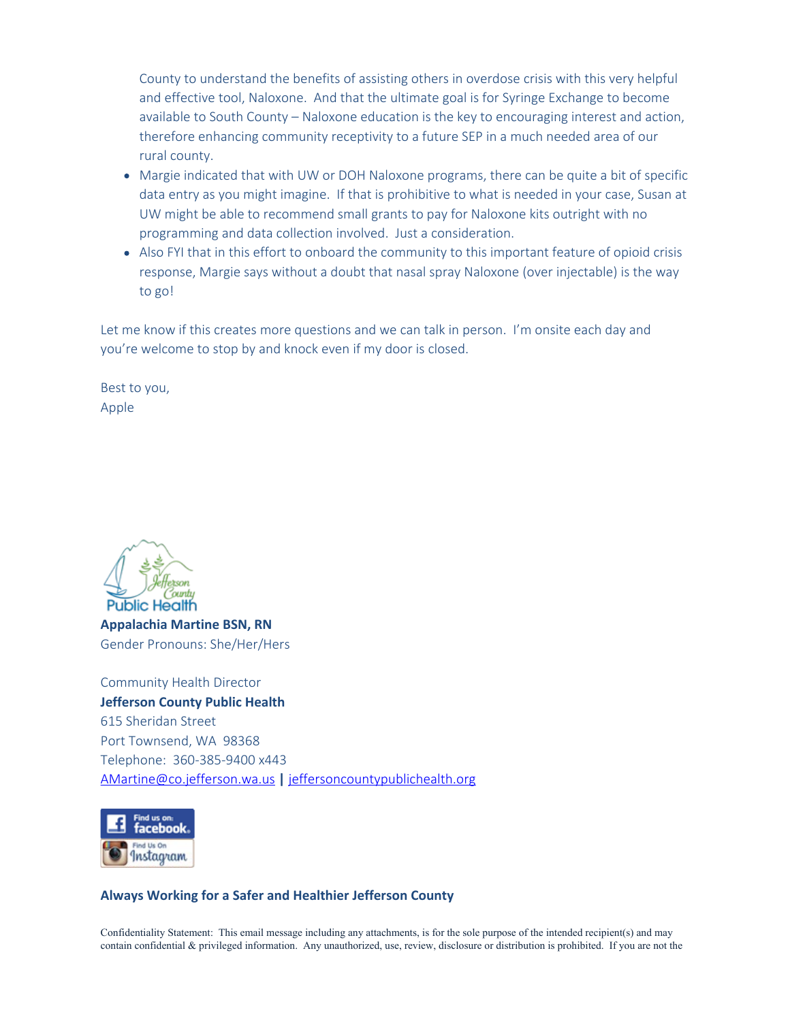County to understand the benefits of assisting others in overdose crisis with this very helpful and effective tool, Naloxone. And that the ultimate goal is for Syringe Exchange to become available to South County – Naloxone education is the key to encouraging interest and action, therefore enhancing community receptivity to a future SEP in a much needed area of our rural county.

- Margie indicated that with UW or DOH Naloxone programs, there can be quite a bit of specific data entry as you might imagine. If that is prohibitive to what is needed in your case, Susan at UW might be able to recommend small grants to pay for Naloxone kits outright with no programming and data collection involved. Just a consideration.
- Also FYI that in this effort to onboard the community to this important feature of opioid crisis response, Margie says without a doubt that nasal spray Naloxone (over injectable) is the way to go!

Let me know if this creates more questions and we can talk in person. I'm onsite each day and you're welcome to stop by and knock even if my door is closed.

Best to you, Apple



**Appalachia Martine BSN, RN** Gender Pronouns: She/Her/Hers

Community Health Director **Jefferson County Public Health** 615 Sheridan Street Port Townsend, WA 98368 Telephone: 360-385-9400 x443 [AMartine@co.jefferson.wa.us](mailto:AMartine@co.jefferson.wa.us) **|** [jeffersoncountypublichealth.org](https://gcc02.safelinks.protection.outlook.com/?url=https%3A%2F%2Fjeffersoncountypublichealth.org%2F202%2FPublic-Health&data=04%7C01%7Csean.hemmerle%40doh.wa.gov%7Cfb690fb9250b43c718a708d8ceaa2122%7C11d0e217264e400a8ba057dcc127d72d%7C0%7C0%7C637486577392987858%7CUnknown%7CTWFpbGZsb3d8eyJWIjoiMC4wLjAwMDAiLCJQIjoiV2luMzIiLCJBTiI6Ik1haWwiLCJXVCI6Mn0%3D%7C1000&sdata=bl0QT61trWsDgCXfU1oKQc62xumEKWBhhG%2Frk0w6jdg%3D&reserved=0)



#### **Always Working for a Safer and Healthier Jefferson County**

Confidentiality Statement: This email message including any attachments, is for the sole purpose of the intended recipient(s) and may contain confidential  $&$  privileged information. Any unauthorized, use, review, disclosure or distribution is prohibited. If you are not the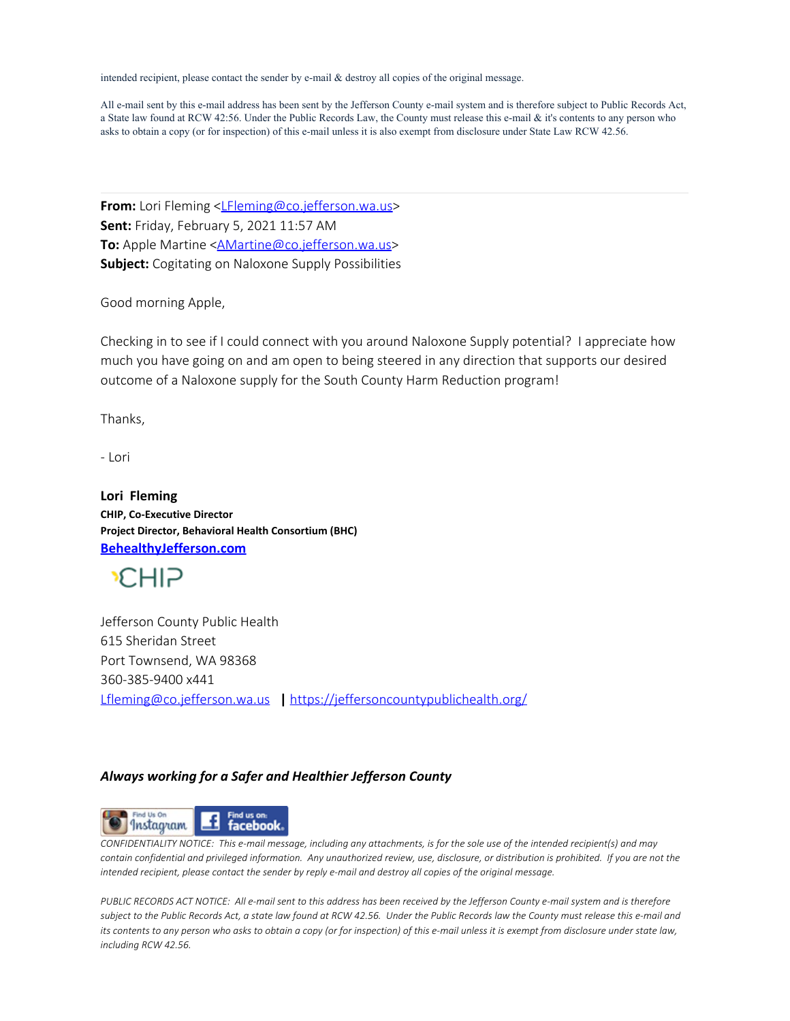intended recipient, please contact the sender by e-mail & destroy all copies of the original message.

All e-mail sent by this e-mail address has been sent by the Jefferson County e-mail system and is therefore subject to Public Records Act, a State law found at RCW 42:56. Under the Public Records Law, the County must release this e-mail & it's contents to any person who asks to obtain a copy (or for inspection) of this e-mail unless it is also exempt from disclosure under State Law RCW 42.56.

**From:** Lori Fleming <LEleming@co.jefferson.wa.us> **Sent:** Friday, February 5, 2021 11:57 AM **To:** Apple Martine < $\triangle$ Martine@co.jefferson.wa.us> **Subject:** Cogitating on Naloxone Supply Possibilities

Good morning Apple,

Checking in to see if I could connect with you around Naloxone Supply potential? I appreciate how much you have going on and am open to being steered in any direction that supports our desired outcome of a Naloxone supply for the South County Harm Reduction program!

Thanks,

- Lori

**Lori Fleming CHIP, Co-Executive Director Project Director, Behavioral Health Consortium (BHC) [BehealthyJefferson.com](https://gcc02.safelinks.protection.outlook.com/?url=https%3A%2F%2Fwww.behealthyjefferson.com%2F&data=04%7C01%7Csean.hemmerle%40doh.wa.gov%7Cfb690fb9250b43c718a708d8ceaa2122%7C11d0e217264e400a8ba057dcc127d72d%7C0%7C0%7C637486577392997813%7CUnknown%7CTWFpbGZsb3d8eyJWIjoiMC4wLjAwMDAiLCJQIjoiV2luMzIiLCJBTiI6Ik1haWwiLCJXVCI6Mn0%3D%7C1000&sdata=k379XYMLvCemAH4aVNP3fWbuV%2BQi7QD%2BUINjSWRnye0%3D&reserved=0)**



Jefferson County Public Health 615 Sheridan Street Port Townsend, WA 98368 360-385-9400 x441 [Lfleming@co.jefferson.wa.us](https://gcc02.safelinks.protection.outlook.com/?url=http%3A%2F%2Fco.jefferson.wa.us%2F&data=04%7C01%7Csean.hemmerle%40doh.wa.gov%7Cfb690fb9250b43c718a708d8ceaa2122%7C11d0e217264e400a8ba057dcc127d72d%7C0%7C0%7C637486577393007776%7CUnknown%7CTWFpbGZsb3d8eyJWIjoiMC4wLjAwMDAiLCJQIjoiV2luMzIiLCJBTiI6Ik1haWwiLCJXVCI6Mn0%3D%7C1000&sdata=9bAsBIdhZz7AtD47hxsREaPayC7TMPW9P1WXKafaihM%3D&reserved=0) **|** [https://jeffersoncountypublichealth.org/](https://gcc02.safelinks.protection.outlook.com/?url=https%3A%2F%2Fjeffersoncountypublichealth.org%2F&data=04%7C01%7Csean.hemmerle%40doh.wa.gov%7Cfb690fb9250b43c718a708d8ceaa2122%7C11d0e217264e400a8ba057dcc127d72d%7C0%7C0%7C637486577393007776%7CUnknown%7CTWFpbGZsb3d8eyJWIjoiMC4wLjAwMDAiLCJQIjoiV2luMzIiLCJBTiI6Ik1haWwiLCJXVCI6Mn0%3D%7C1000&sdata=pfJn7Qi2v3qM69oqg9yxC0RU33bKNesG91vgg8dARN4%3D&reserved=0)

## *Always working for a Safer and Healthier Jefferson County*



*CONFIDENTIALITY NOTICE: This e-mail message, including any attachments, is for the sole use of the intended recipient(s) and may contain confidential and privileged information. Any unauthorized review, use, disclosure, or distribution is prohibited. If you are not the intended recipient, please contact the sender by reply e-mail and destroy all copies of the original message.*

*PUBLIC RECORDS ACT NOTICE: All e-mail sent to this address has been received by the Jefferson County e-mail system and is therefore subject to the Public Records Act, a state law found at RCW 42.56. Under the Public Records law the County must release this e-mail and its contents to any person who asks to obtain a copy (or for inspection) of this e-mail unless it is exempt from disclosure under state law, including RCW 42.56.*